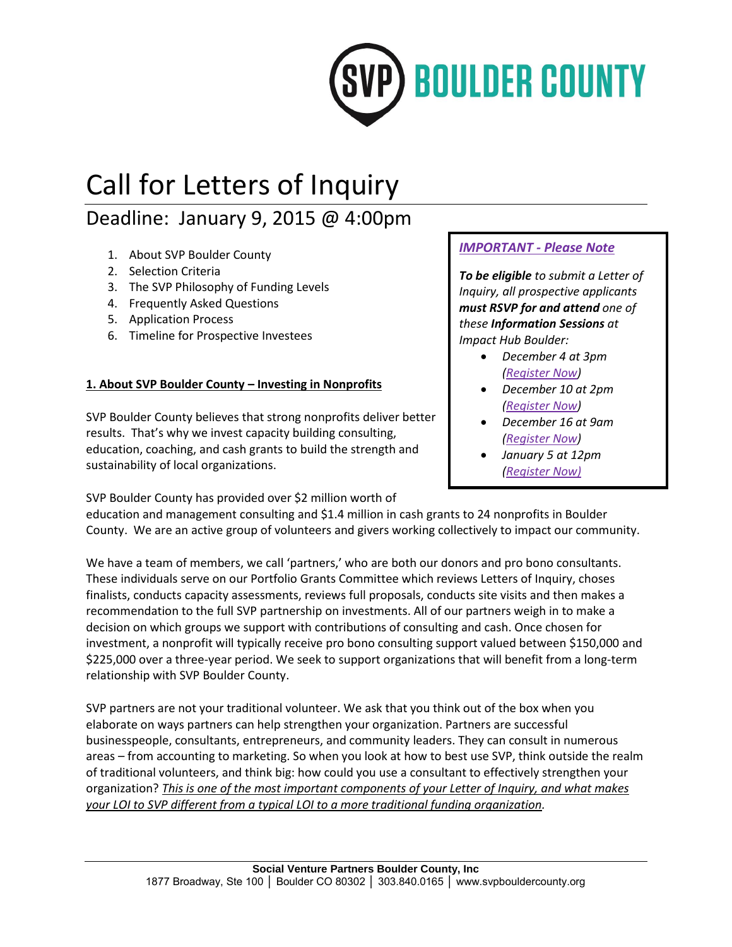

# Call for Letters of Inquiry

# Deadline: January 9, 2015 @ 4:00pm

- 1. About SVP Boulder County
- 2. Selection Criteria
- 3. The SVP Philosophy of Funding Levels
- 4. Frequently Asked Questions
- 5. Application Process
- 6. Timeline for Prospective Investees

# **1. About SVP Boulder County – Investing in Nonprofits**

SVP Boulder County believes that strong nonprofits deliver better results. That's why we invest capacity building consulting, education, coaching, and cash grants to build the strength and sustainability of local organizations.

SVP Boulder County has provided over \$2 million worth of

# *IMPORTANT - Please Note*

*To be eligible to submit a Letter of Inquiry, all prospective applicants must RSVP for and attend one of these Information Sessions at Impact Hub Boulder:*

- *December 4 at 3pm [\(Register Now\)](http://svp2015nonprofitinfosessionone.eventbrite.com/)*
- *December 10 at 2pm [\(Register Now\)](https://www.eventbrite.com/e/svp-2015-nonprofit-investment-information-session-4-registration-14516301649)*
- *December 16 at 9am [\(Register Now\)](http://svp2015nonprofitinfosessiontwo.eventbrite.com/)*
- *January 5 at 12pm [\(Register Now\)](https://svp2015nonprofitinfosessionthree.eventbrite.com/)*

education and management consulting and \$1.4 million in cash grants to 24 nonprofits in Boulder County. We are an active group of volunteers and givers working collectively to impact our community.

We have a team of members, we call 'partners,' who are both our donors and pro bono consultants. These individuals serve on our Portfolio Grants Committee which reviews Letters of Inquiry, choses finalists, conducts capacity assessments, reviews full proposals, conducts site visits and then makes a recommendation to the full SVP partnership on investments. All of our partners weigh in to make a decision on which groups we support with contributions of consulting and cash. Once chosen for investment, a nonprofit will typically receive pro bono consulting support valued between \$150,000 and \$225,000 over a three-year period. We seek to support organizations that will benefit from a long-term relationship with SVP Boulder County.

SVP partners are not your traditional volunteer. We ask that you think out of the box when you elaborate on ways partners can help strengthen your organization. Partners are successful businesspeople, consultants, entrepreneurs, and community leaders. They can consult in numerous areas – from accounting to marketing. So when you look at how to best use SVP, think outside the realm of traditional volunteers, and think big: how could you use a consultant to effectively strengthen your organization? *This is one of the most important components of your Letter of Inquiry, and what makes your LOI to SVP different from a typical LOI to a more traditional funding organization.*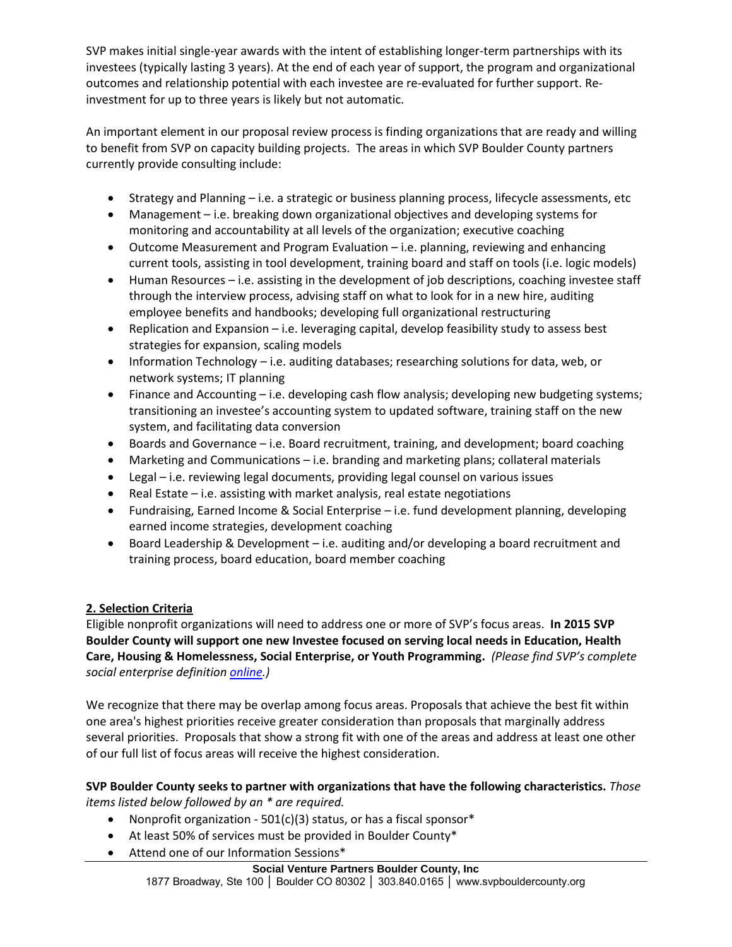SVP makes initial single-year awards with the intent of establishing longer-term partnerships with its investees (typically lasting 3 years). At the end of each year of support, the program and organizational outcomes and relationship potential with each investee are re-evaluated for further support. Reinvestment for up to three years is likely but not automatic.

An important element in our proposal review process is finding organizations that are ready and willing to benefit from SVP on capacity building projects. The areas in which SVP Boulder County partners currently provide consulting include:

- Strategy and Planning i.e. a strategic or business planning process, lifecycle assessments, etc
- Management i.e. breaking down organizational objectives and developing systems for monitoring and accountability at all levels of the organization; executive coaching
- Outcome Measurement and Program Evaluation i.e. planning, reviewing and enhancing current tools, assisting in tool development, training board and staff on tools (i.e. logic models)
- Human Resources i.e. assisting in the development of job descriptions, coaching investee staff through the interview process, advising staff on what to look for in a new hire, auditing employee benefits and handbooks; developing full organizational restructuring
- Replication and Expansion i.e. leveraging capital, develop feasibility study to assess best strategies for expansion, scaling models
- Information Technology i.e. auditing databases; researching solutions for data, web, or network systems; IT planning
- Finance and Accounting i.e. developing cash flow analysis; developing new budgeting systems; transitioning an investee's accounting system to updated software, training staff on the new system, and facilitating data conversion
- Boards and Governance i.e. Board recruitment, training, and development; board coaching
- Marketing and Communications i.e. branding and marketing plans; collateral materials
- Legal i.e. reviewing legal documents, providing legal counsel on various issues
- Real Estate i.e. assisting with market analysis, real estate negotiations
- Fundraising, Earned Income & Social Enterprise i.e. fund development planning, developing earned income strategies, development coaching
- Board Leadership & Development i.e. auditing and/or developing a board recruitment and training process, board education, board member coaching

## **2. Selection Criteria**

Eligible nonprofit organizations will need to address one or more of SVP's focus areas. **In 2015 SVP Boulder County will support one new Investee focused on serving local needs in Education, Health Care, Housing & Homelessness, Social Enterprise, or Youth Programming.** *(Please find SVP's complete social enterprise definition [online.](http://www.socialventurepartners.org/boulder-county/what-we-do/have-impact/))*

We recognize that there may be overlap among focus areas. Proposals that achieve the best fit within one area's highest priorities receive greater consideration than proposals that marginally address several priorities. Proposals that show a strong fit with one of the areas and address at least one other of our full list of focus areas will receive the highest consideration.

**SVP Boulder County seeks to partner with organizations that have the following characteristics.** *Those items listed below followed by an \* are required.*

- Nonprofit organization  $501(c)(3)$  status, or has a fiscal sponsor\*
- At least 50% of services must be provided in Boulder County\*
- Attend one of our Information Sessions\*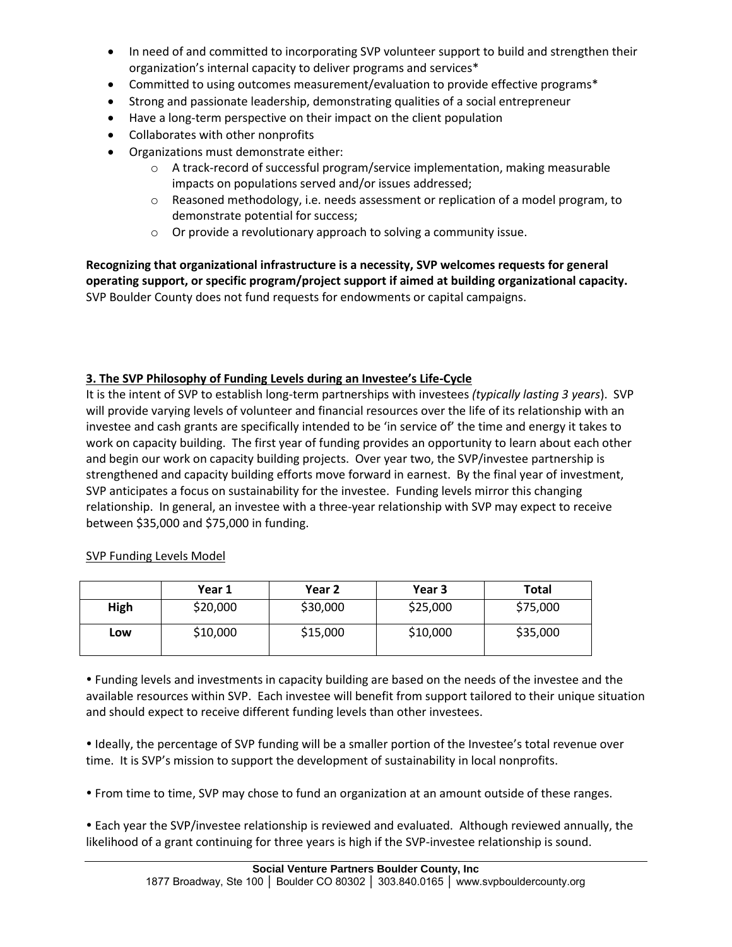- In need of and committed to incorporating SVP volunteer support to build and strengthen their organization's internal capacity to deliver programs and services\*
- Committed to using outcomes measurement/evaluation to provide effective programs\*
- Strong and passionate leadership, demonstrating qualities of a social entrepreneur
- Have a long-term perspective on their impact on the client population
- Collaborates with other nonprofits
- Organizations must demonstrate either:
	- o A track-record of successful program/service implementation, making measurable impacts on populations served and/or issues addressed;
	- $\circ$  Reasoned methodology, i.e. needs assessment or replication of a model program, to demonstrate potential for success;
	- o Or provide a revolutionary approach to solving a community issue.

**Recognizing that organizational infrastructure is a necessity, SVP welcomes requests for general operating support, or specific program/project support if aimed at building organizational capacity.** SVP Boulder County does not fund requests for endowments or capital campaigns.

#### **3. The SVP Philosophy of Funding Levels during an Investee's Life-Cycle**

It is the intent of SVP to establish long-term partnerships with investees *(typically lasting 3 years*). SVP will provide varying levels of volunteer and financial resources over the life of its relationship with an investee and cash grants are specifically intended to be 'in service of' the time and energy it takes to work on capacity building. The first year of funding provides an opportunity to learn about each other and begin our work on capacity building projects. Over year two, the SVP/investee partnership is strengthened and capacity building efforts move forward in earnest. By the final year of investment, SVP anticipates a focus on sustainability for the investee. Funding levels mirror this changing relationship. In general, an investee with a three-year relationship with SVP may expect to receive between \$35,000 and \$75,000 in funding.

SVP Funding Levels Model

|      | Year 1   | Year 2   | Year 3   | Total    |
|------|----------|----------|----------|----------|
| High | \$20,000 | \$30,000 | \$25,000 | \$75,000 |
| Low  | \$10,000 | \$15,000 | \$10,000 | \$35,000 |

 Funding levels and investments in capacity building are based on the needs of the investee and the available resources within SVP. Each investee will benefit from support tailored to their unique situation and should expect to receive different funding levels than other investees.

 Ideally, the percentage of SVP funding will be a smaller portion of the Investee's total revenue over time. It is SVP's mission to support the development of sustainability in local nonprofits.

From time to time, SVP may chose to fund an organization at an amount outside of these ranges.

 Each year the SVP/investee relationship is reviewed and evaluated. Although reviewed annually, the likelihood of a grant continuing for three years is high if the SVP-investee relationship is sound.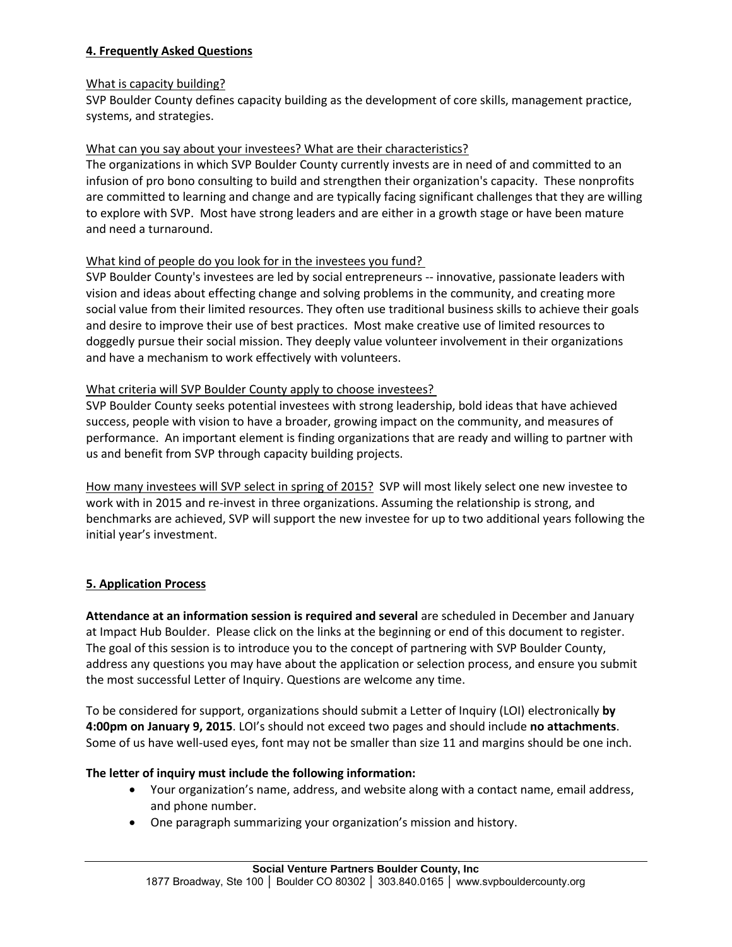#### **4. Frequently Asked Questions**

#### What is capacity building?

SVP Boulder County defines capacity building as the development of core skills, management practice, systems, and strategies.

#### What can you say about your investees? What are their characteristics?

The organizations in which SVP Boulder County currently invests are in need of and committed to an infusion of pro bono consulting to build and strengthen their organization's capacity. These nonprofits are committed to learning and change and are typically facing significant challenges that they are willing to explore with SVP. Most have strong leaders and are either in a growth stage or have been mature and need a turnaround.

#### What kind of people do you look for in the investees you fund?

SVP Boulder County's investees are led by social entrepreneurs -- innovative, passionate leaders with vision and ideas about effecting change and solving problems in the community, and creating more social value from their limited resources. They often use traditional business skills to achieve their goals and desire to improve their use of best practices. Most make creative use of limited resources to doggedly pursue their social mission. They deeply value volunteer involvement in their organizations and have a mechanism to work effectively with volunteers.

#### What criteria will SVP Boulder County apply to choose investees?

SVP Boulder County seeks potential investees with strong leadership, bold ideas that have achieved success, people with vision to have a broader, growing impact on the community, and measures of performance. An important element is finding organizations that are ready and willing to partner with us and benefit from SVP through capacity building projects.

How many investees will SVP select in spring of 2015? SVP will most likely select one new investee to work with in 2015 and re-invest in three organizations. Assuming the relationship is strong, and benchmarks are achieved, SVP will support the new investee for up to two additional years following the initial year's investment.

#### **5. Application Process**

**Attendance at an information session is required and several** are scheduled in December and January at Impact Hub Boulder. Please click on the links at the beginning or end of this document to register. The goal of this session is to introduce you to the concept of partnering with SVP Boulder County, address any questions you may have about the application or selection process, and ensure you submit the most successful Letter of Inquiry. Questions are welcome any time.

To be considered for support, organizations should submit a Letter of Inquiry (LOI) electronically **by 4:00pm on January 9, 2015**. LOI's should not exceed two pages and should include **no attachments**. Some of us have well-used eyes, font may not be smaller than size 11 and margins should be one inch.

#### **The letter of inquiry must include the following information:**

- Your organization's name, address, and website along with a contact name, email address, and phone number.
- One paragraph summarizing your organization's mission and history.